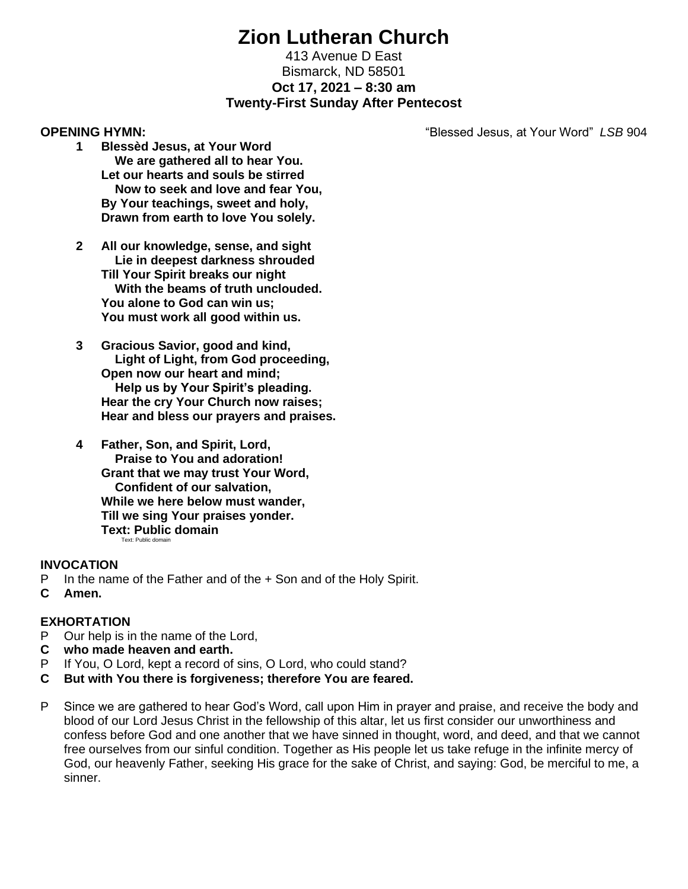# **Zion Lutheran Church**

# 413 Avenue D East Bismarck, ND 58501 **Oct 17, 2021 – 8:30 am Twenty-First Sunday After Pentecost**

**OPENING HYMN:** "Blessed Jesus, at Your Word" *LSB* 904

- **1 Blessèd Jesus, at Your Word We are gathered all to hear You. Let our hearts and souls be stirred Now to seek and love and fear You, By Your teachings, sweet and holy, Drawn from earth to love You solely.**
- **2 All our knowledge, sense, and sight Lie in deepest darkness shrouded Till Your Spirit breaks our night With the beams of truth unclouded. You alone to God can win us; You must work all good within us.**
- **3 Gracious Savior, good and kind, Light of Light, from God proceeding, Open now our heart and mind; Help us by Your Spirit's pleading. Hear the cry Your Church now raises; Hear and bless our prayers and praises.**
- **4 Father, Son, and Spirit, Lord, Praise to You and adoration! Grant that we may trust Your Word, Confident of our salvation, While we here below must wander, Till we sing Your praises yonder. Text: Public domain** Text: Public domain

### **INVOCATION**

- P In the name of the Father and of the + Son and of the Holy Spirit.
- **C Amen.**

# **EXHORTATION**

- P Our help is in the name of the Lord,
- **C who made heaven and earth.**
- P If You, O Lord, kept a record of sins, O Lord, who could stand?
- **C But with You there is forgiveness; therefore You are feared.**
- P Since we are gathered to hear God's Word, call upon Him in prayer and praise, and receive the body and blood of our Lord Jesus Christ in the fellowship of this altar, let us first consider our unworthiness and confess before God and one another that we have sinned in thought, word, and deed, and that we cannot free ourselves from our sinful condition. Together as His people let us take refuge in the infinite mercy of God, our heavenly Father, seeking His grace for the sake of Christ, and saying: God, be merciful to me, a sinner.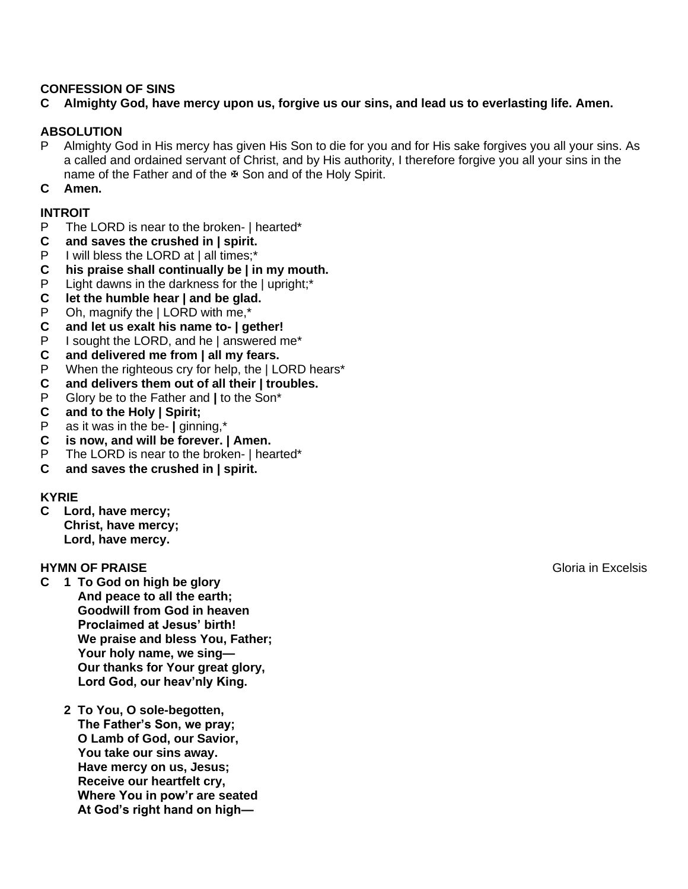### **CONFESSION OF SINS**

## **C Almighty God, have mercy upon us, forgive us our sins, and lead us to everlasting life. Amen.**

### **ABSOLUTION**

P Almighty God in His mercy has given His Son to die for you and for His sake forgives you all your sins. As a called and ordained servant of Christ, and by His authority, I therefore forgive you all your sins in the name of the Father and of the  $\overline{x}$  Son and of the Holy Spirit.

#### **C Amen.**

### **INTROIT**

- P The LORD is near to the broken- | hearted\*
- **C and saves the crushed in | spirit.**
- P I will bless the LORD at I all times:\*
- **C his praise shall continually be | in my mouth.**
- P Light dawns in the darkness for the | upright;\*
- **C let the humble hear | and be glad.**
- P Oh, magnify the | LORD with me,\*
- **C and let us exalt his name to- | gether!**
- P I sought the LORD, and he I answered me<sup>\*</sup>
- **C and delivered me from | all my fears.**
- P When the righteous cry for help, the | LORD hears\*
- **C and delivers them out of all their | troubles.**
- P Glory be to the Father and **|** to the Son\*
- **C and to the Holy | Spirit;**<br>**P as it was in the be- I ginn**
- P as it was in the be- **|** ginning,\*
- **C is now, and will be forever. | Amen.**
- P The LORD is near to the broken- | hearted\*
- **C and saves the crushed in | spirit.**

### **KYRIE**

**C Lord, have mercy; Christ, have mercy; Lord, have mercy.**

#### **HYMN OF PRAISE Gloria in Excelsis**

- **C 1 To God on high be glory And peace to all the earth; Goodwill from God in heaven Proclaimed at Jesus' birth! We praise and bless You, Father; Your holy name, we sing— Our thanks for Your great glory, Lord God, our heav'nly King.**
	- **2 To You, O sole-begotten, The Father's Son, we pray; O Lamb of God, our Savior, You take our sins away. Have mercy on us, Jesus; Receive our heartfelt cry, Where You in pow'r are seated At God's right hand on high—**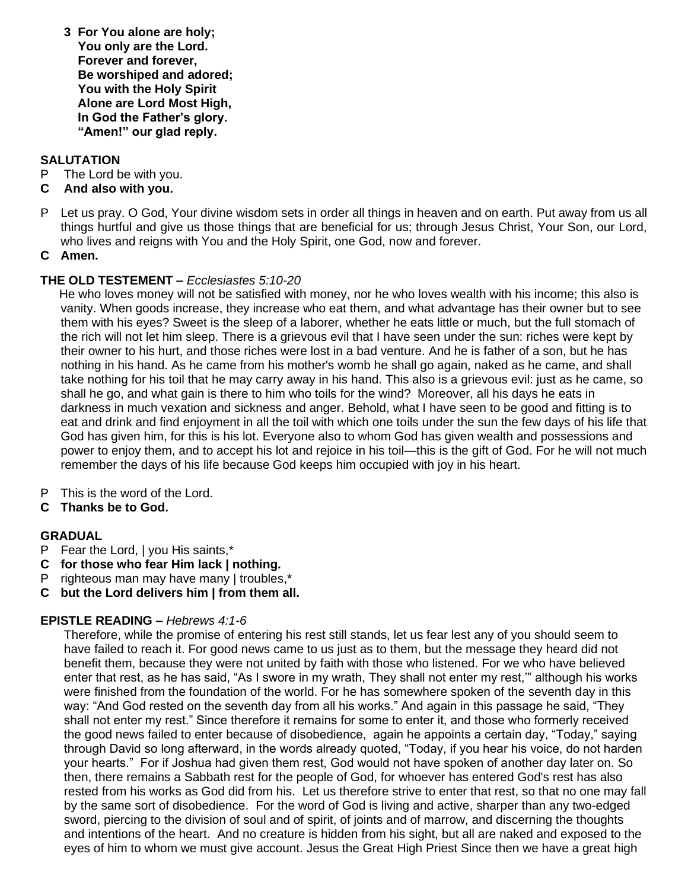**3 For You alone are holy; You only are the Lord. Forever and forever, Be worshiped and adored; You with the Holy Spirit Alone are Lord Most High, In God the Father's glory. "Amen!" our glad reply.**

# **SALUTATION**

- P The Lord be with you.
- **C And also with you.**
- P Let us pray. O God, Your divine wisdom sets in order all things in heaven and on earth. Put away from us all things hurtful and give us those things that are beneficial for us; through Jesus Christ, Your Son, our Lord, who lives and reigns with You and the Holy Spirit, one God, now and forever.
- **C Amen.**

# **THE OLD TESTEMENT –** *Ecclesiastes 5:10-20*

He who loves money will not be satisfied with money, nor he who loves wealth with his income; this also is vanity. When goods increase, they increase who eat them, and what advantage has their owner but to see them with his eyes? Sweet is the sleep of a laborer, whether he eats little or much, but the full stomach of the rich will not let him sleep. There is a grievous evil that I have seen under the sun: riches were kept by their owner to his hurt, and those riches were lost in a bad venture. And he is father of a son, but he has nothing in his hand. As he came from his mother's womb he shall go again, naked as he came, and shall take nothing for his toil that he may carry away in his hand. This also is a grievous evil: just as he came, so shall he go, and what gain is there to him who toils for the wind? Moreover, all his days he eats in darkness in much vexation and sickness and anger. Behold, what I have seen to be good and fitting is to eat and drink and find enjoyment in all the toil with which one toils under the sun the few days of his life that God has given him, for this is his lot. Everyone also to whom God has given wealth and possessions and power to enjoy them, and to accept his lot and rejoice in his toil—this is the gift of God. For he will not much remember the days of his life because God keeps him occupied with joy in his heart.

- P This is the word of the Lord.
- **C Thanks be to God.**

# **GRADUAL**

- P Fear the Lord, | you His saints,\*
- **C for those who fear Him lack | nothing.**
- P righteous man may have many | troubles,\*
- **C but the Lord delivers him | from them all.**

# **EPISTLE READING –** *Hebrews 4:1-6*

Therefore, while the promise of entering his rest still stands, let us fear lest any of you should seem to have failed to reach it. For good news came to us just as to them, but the message they heard did not benefit them, because they were not united by faith with those who listened. For we who have believed enter that rest, as he has said, "As I swore in my wrath, They shall not enter my rest,'" although his works were finished from the foundation of the world. For he has somewhere spoken of the seventh day in this way: "And God rested on the seventh day from all his works." And again in this passage he said, "They shall not enter my rest." Since therefore it remains for some to enter it, and those who formerly received the good news failed to enter because of disobedience, again he appoints a certain day, "Today," saying through David so long afterward, in the words already quoted, "Today, if you hear his voice, do not harden your hearts." For if Joshua had given them rest, God would not have spoken of another day later on. So then, there remains a Sabbath rest for the people of God, for whoever has entered God's rest has also rested from his works as God did from his. Let us therefore strive to enter that rest, so that no one may fall by the same sort of disobedience. For the word of God is living and active, sharper than any two-edged sword, piercing to the division of soul and of spirit, of joints and of marrow, and discerning the thoughts and intentions of the heart. And no creature is hidden from his sight, but all are naked and exposed to the eyes of him to whom we must give account. Jesus the Great High Priest Since then we have a great high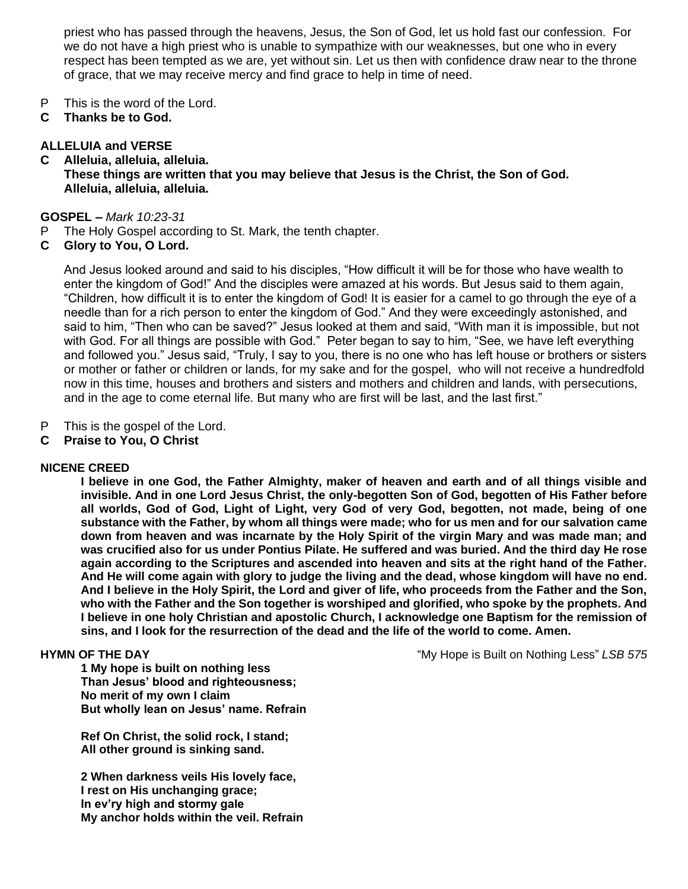priest who has passed through the heavens, Jesus, the Son of God, let us hold fast our confession. For we do not have a high priest who is unable to sympathize with our weaknesses, but one who in every respect has been tempted as we are, yet without sin. Let us then with confidence draw near to the throne of grace, that we may receive mercy and find grace to help in time of need.

- P This is the word of the Lord.
- **C Thanks be to God.**

#### **ALLELUIA and VERSE**

**C Alleluia, alleluia, alleluia. These things are written that you may believe that Jesus is the Christ, the Son of God. Alleluia, alleluia, alleluia.**

#### **GOSPEL –** *Mark 10:23-31*

- P The Holy Gospel according to St. Mark, the tenth chapter.
- **C Glory to You, O Lord.**

And Jesus looked around and said to his disciples, "How difficult it will be for those who have wealth to enter the kingdom of God!" And the disciples were amazed at his words. But Jesus said to them again, "Children, how difficult it is to enter the kingdom of God! It is easier for a camel to go through the eye of a needle than for a rich person to enter the kingdom of God." And they were exceedingly astonished, and said to him, "Then who can be saved?" Jesus looked at them and said, "With man it is impossible, but not with God. For all things are possible with God." Peter began to say to him, "See, we have left everything and followed you." Jesus said, "Truly, I say to you, there is no one who has left house or brothers or sisters or mother or father or children or lands, for my sake and for the gospel, who will not receive a hundredfold now in this time, houses and brothers and sisters and mothers and children and lands, with persecutions, and in the age to come eternal life. But many who are first will be last, and the last first."

- P This is the gospel of the Lord.
- **C Praise to You, O Christ**

#### **NICENE CREED**

**I believe in one God, the Father Almighty, maker of heaven and earth and of all things visible and invisible. And in one Lord Jesus Christ, the only-begotten Son of God, begotten of His Father before all worlds, God of God, Light of Light, very God of very God, begotten, not made, being of one substance with the Father, by whom all things were made; who for us men and for our salvation came down from heaven and was incarnate by the Holy Spirit of the virgin Mary and was made man; and was crucified also for us under Pontius Pilate. He suffered and was buried. And the third day He rose again according to the Scriptures and ascended into heaven and sits at the right hand of the Father. And He will come again with glory to judge the living and the dead, whose kingdom will have no end. And I believe in the Holy Spirit, the Lord and giver of life, who proceeds from the Father and the Son, who with the Father and the Son together is worshiped and glorified, who spoke by the prophets. And I believe in one holy Christian and apostolic Church, I acknowledge one Baptism for the remission of sins, and I look for the resurrection of the dead and the life of the world to come. Amen.**

**1 My hope is built on nothing less Than Jesus' blood and righteousness; No merit of my own I claim But wholly lean on Jesus' name. Refrain**

**Ref On Christ, the solid rock, I stand; All other ground is sinking sand.**

**2 When darkness veils His lovely face, I rest on His unchanging grace; In ev'ry high and stormy gale My anchor holds within the veil. Refrain**

**HYMN OF THE DAY EXECUTE:** The My Hope is Built on Nothing Less" *LSB 575*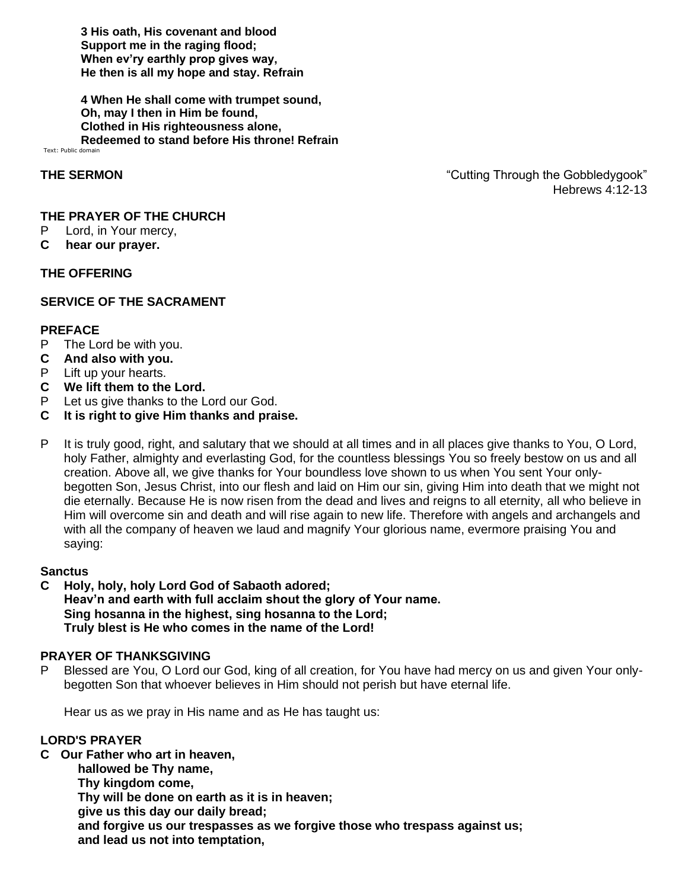**3 His oath, His covenant and blood Support me in the raging flood; When ev'ry earthly prop gives way, He then is all my hope and stay. Refrain**

**4 When He shall come with trumpet sound, Oh, may I then in Him be found, Clothed in His righteousness alone, Redeemed to stand before His throne! Refrain** Text: Public domain

**THE SERMON THE SERMON THE SERMON THE SERMON THE SERMON** Hebrews 4:12-13

#### **THE PRAYER OF THE CHURCH**

- P Lord, in Your mercy,
- **C hear our prayer.**

#### **THE OFFERING**

### **SERVICE OF THE SACRAMENT**

#### **PREFACE**

- P The Lord be with you.
- **C And also with you.**
- P Lift up your hearts.
- **C We lift them to the Lord.**
- P Let us give thanks to the Lord our God.
- **C It is right to give Him thanks and praise.**
- P It is truly good, right, and salutary that we should at all times and in all places give thanks to You, O Lord, holy Father, almighty and everlasting God, for the countless blessings You so freely bestow on us and all creation. Above all, we give thanks for Your boundless love shown to us when You sent Your onlybegotten Son, Jesus Christ, into our flesh and laid on Him our sin, giving Him into death that we might not die eternally. Because He is now risen from the dead and lives and reigns to all eternity, all who believe in Him will overcome sin and death and will rise again to new life. Therefore with angels and archangels and with all the company of heaven we laud and magnify Your glorious name, evermore praising You and saying:

#### **Sanctus**

**C Holy, holy, holy Lord God of Sabaoth adored; Heav'n and earth with full acclaim shout the glory of Your name. Sing hosanna in the highest, sing hosanna to the Lord; Truly blest is He who comes in the name of the Lord!**

#### **PRAYER OF THANKSGIVING**

P Blessed are You, O Lord our God, king of all creation, for You have had mercy on us and given Your onlybegotten Son that whoever believes in Him should not perish but have eternal life.

Hear us as we pray in His name and as He has taught us:

#### **LORD'S PRAYER**

**C Our Father who art in heaven, hallowed be Thy name, Thy kingdom come, Thy will be done on earth as it is in heaven; give us this day our daily bread; and forgive us our trespasses as we forgive those who trespass against us; and lead us not into temptation,**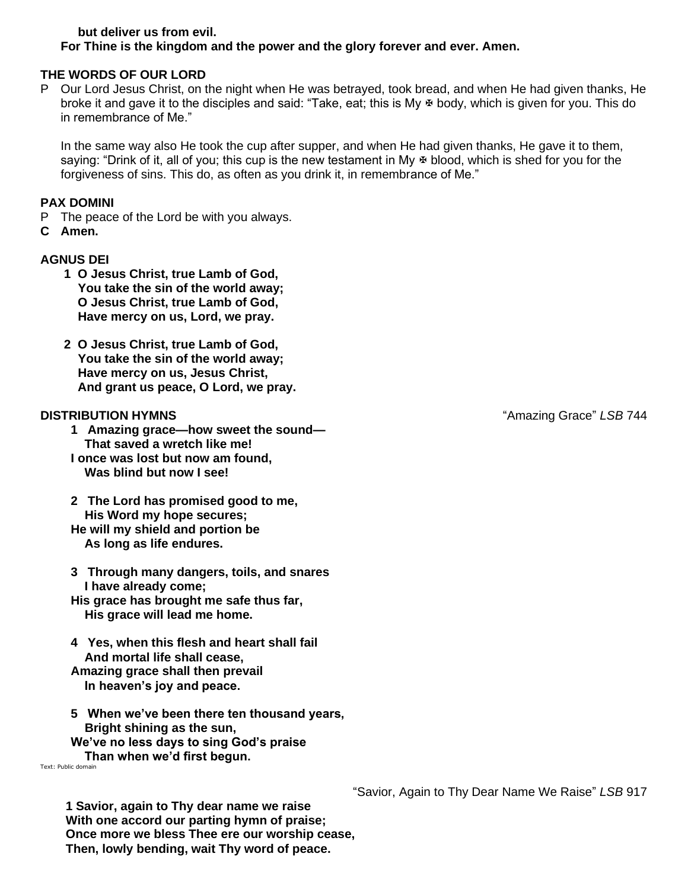#### **but deliver us from evil. For Thine is the kingdom and the power and the glory forever and ever. Amen.**

### **THE WORDS OF OUR LORD**

P Our Lord Jesus Christ, on the night when He was betrayed, took bread, and when He had given thanks, He broke it and gave it to the disciples and said: "Take, eat; this is My  $\Phi$  body, which is given for you. This do in remembrance of Me."

In the same way also He took the cup after supper, and when He had given thanks, He gave it to them, saying: "Drink of it, all of you; this cup is the new testament in My  $\Phi$  blood, which is shed for you for the forgiveness of sins. This do, as often as you drink it, in remembrance of Me."

#### **PAX DOMINI**

- P The peace of the Lord be with you always.
- **C Amen.**

#### **AGNUS DEI**

- **1 O Jesus Christ, true Lamb of God, You take the sin of the world away; O Jesus Christ, true Lamb of God, Have mercy on us, Lord, we pray.**
- **2 O Jesus Christ, true Lamb of God, You take the sin of the world away; Have mercy on us, Jesus Christ, And grant us peace, O Lord, we pray.**

- **1 Amazing grace—how sweet the sound— That saved a wretch like me! I once was lost but now am found, Was blind but now I see!**
- **2 The Lord has promised good to me, His Word my hope secures; He will my shield and portion be As long as life endures.**
- **3 Through many dangers, toils, and snares I have already come; His grace has brought me safe thus far, His grace will lead me home.**
- **4 Yes, when this flesh and heart shall fail And mortal life shall cease, Amazing grace shall then prevail In heaven's joy and peace.**
- **5 When we've been there ten thousand years, Bright shining as the sun,**
- **We've no less days to sing God's praise Than when we'd first begun.**

Text: Public domain

**1 Savior, again to Thy dear name we raise With one accord our parting hymn of praise; Once more we bless Thee ere our worship cease, Then, lowly bending, wait Thy word of peace.**

**DISTRIBUTION HYMNS** "Amazing Grace" *LSB* 744

"Savior, Again to Thy Dear Name We Raise" *LSB* 917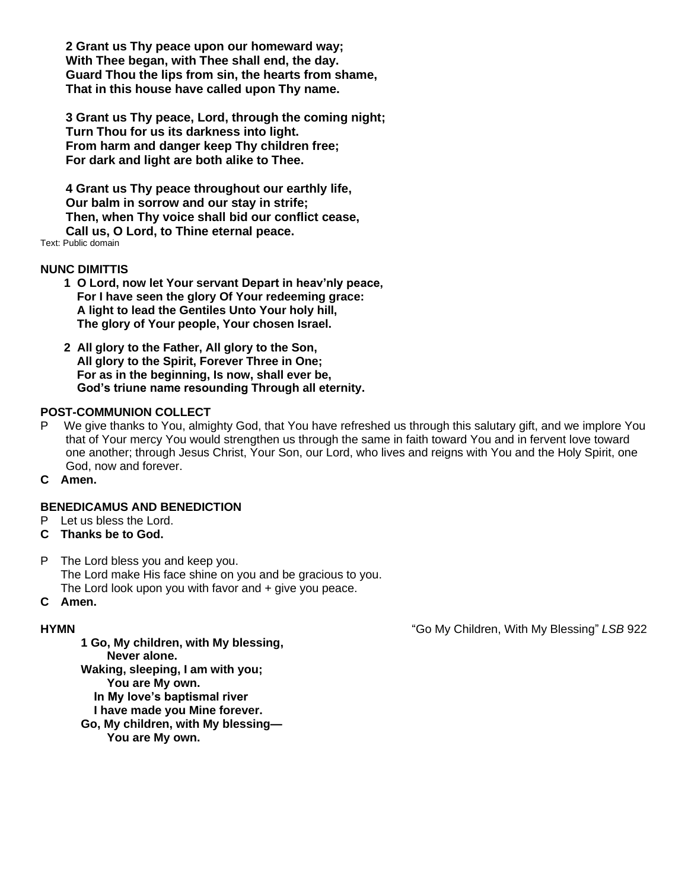**2 Grant us Thy peace upon our homeward way; With Thee began, with Thee shall end, the day. Guard Thou the lips from sin, the hearts from shame, That in this house have called upon Thy name.**

**3 Grant us Thy peace, Lord, through the coming night; Turn Thou for us its darkness into light. From harm and danger keep Thy children free; For dark and light are both alike to Thee.**

**4 Grant us Thy peace throughout our earthly life, Our balm in sorrow and our stay in strife; Then, when Thy voice shall bid our conflict cease, Call us, O Lord, to Thine eternal peace.** Text: Public domain

#### **NUNC DIMITTIS**

- **1 O Lord, now let Your servant Depart in heav'nly peace, For I have seen the glory Of Your redeeming grace: A light to lead the Gentiles Unto Your holy hill, The glory of Your people, Your chosen Israel.**
- **2 All glory to the Father, All glory to the Son, All glory to the Spirit, Forever Three in One; For as in the beginning, Is now, shall ever be, God's triune name resounding Through all eternity.**

#### **POST-COMMUNION COLLECT**

- P We give thanks to You, almighty God, that You have refreshed us through this salutary gift, and we implore You that of Your mercy You would strengthen us through the same in faith toward You and in fervent love toward one another; through Jesus Christ, Your Son, our Lord, who lives and reigns with You and the Holy Spirit, one God, now and forever.
- **C Amen.**

#### **BENEDICAMUS AND BENEDICTION**

P Let us bless the Lord.

#### **C Thanks be to God.**

P The Lord bless you and keep you. The Lord make His face shine on you and be gracious to you. The Lord look upon you with favor and + give you peace.

### **C Amen.**

**HYMN** "Go My Children, With My Blessing" *LSB* 922

**1 Go, My children, with My blessing, Never alone. Waking, sleeping, I am with you; You are My own. In My love's baptismal river I have made you Mine forever. Go, My children, with My blessing— You are My own.**